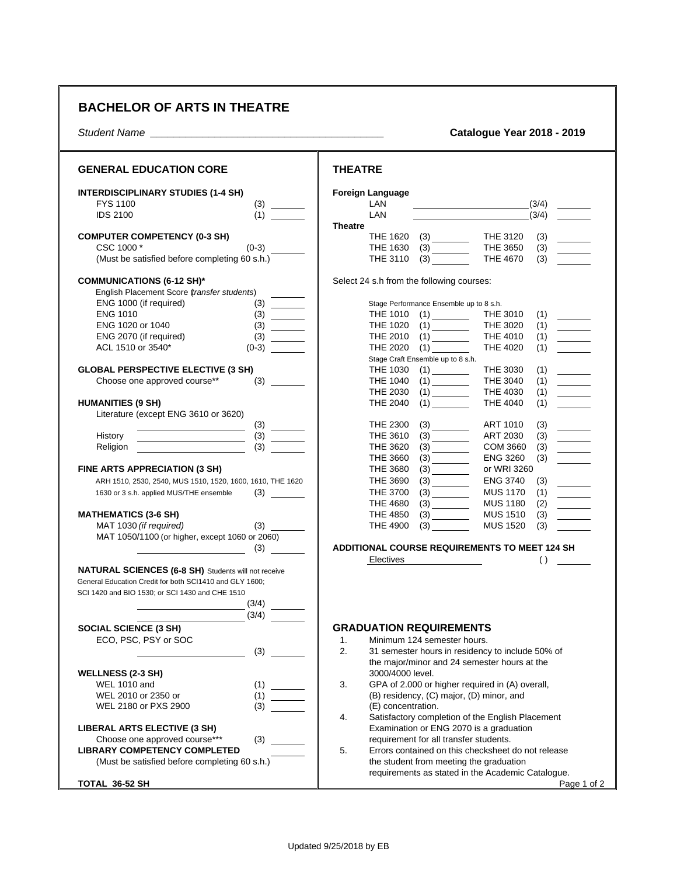## **BACHELOR OF ARTS IN THEATRE**

*Student Name \_\_\_\_\_\_\_\_\_\_\_\_\_\_\_\_\_\_\_\_\_\_\_\_\_\_\_\_\_\_\_\_\_\_\_\_\_\_\_\_* **Catalogue Year 2018 - 2019**

| <b>GENERAL EDUCATION CORE</b>                                                                                                                                                                                                                                                                                                                                                                                                            | <b>THEATRE</b>                                                                                                                                                                                                                                                                                                                        |
|------------------------------------------------------------------------------------------------------------------------------------------------------------------------------------------------------------------------------------------------------------------------------------------------------------------------------------------------------------------------------------------------------------------------------------------|---------------------------------------------------------------------------------------------------------------------------------------------------------------------------------------------------------------------------------------------------------------------------------------------------------------------------------------|
| <b>INTERDISCIPLINARY STUDIES (1-4 SH)</b><br><b>FYS 1100</b><br>(3)<br><b>IDS 2100</b><br>(1)                                                                                                                                                                                                                                                                                                                                            | <b>Foreign Language</b><br>LAN<br>(3/4)<br>LAN<br>(3/4)<br><b>Theatre</b>                                                                                                                                                                                                                                                             |
| <b>COMPUTER COMPETENCY (0-3 SH)</b><br>$(0-3)$<br>CSC 1000 *<br>(Must be satisfied before completing 60 s.h.)                                                                                                                                                                                                                                                                                                                            | <b>THE 1620</b><br>THE 3120<br>(3)<br>$\frac{1}{2}$ $\frac{1}{2}$<br><b>THE 3650</b><br>THE 1630<br>(3)<br>$\frac{1}{1}$<br>(3)<br>THE 3110<br>(3)<br><b>THE 4670</b>                                                                                                                                                                 |
| <b>COMMUNICATIONS (6-12 SH)*</b><br>English Placement Score (transfer students)                                                                                                                                                                                                                                                                                                                                                          | Select 24 s.h from the following courses:                                                                                                                                                                                                                                                                                             |
| ENG 1000 (if required)<br>(3)<br><b>ENG 1010</b><br>(3)<br>$\begin{tabular}{ c c c c } \hline \quad \quad & \quad \quad & \quad \quad \\ \hline \quad \quad & \quad \quad & \quad \quad \\ \hline \quad \quad & \quad \quad & \quad \quad \\ \hline \quad \quad & \quad \quad & \quad \quad \\ \hline \end{tabular}$<br>ENG 1020 or 1040<br>(3)<br>ENG 2070 (if required)<br>(3)<br>$\frac{1}{2}$ and $\frac{1}{2}$<br>ACL 1510 or 3540* | Stage Performance Ensemble up to 8 s.h.<br>THE 1010 (1)<br>THE 1020 (1)<br>THE 3010<br>(1)<br>THE 3020<br>(1)<br>$\overline{\phantom{a}}$<br>THE 2010<br><b>THE 4010</b><br>(1)<br>$\frac{1}{2}$<br>THE 4020<br><b>THE 2020</b><br>(1)                                                                                                |
| <b>GLOBAL PERSPECTIVE ELECTIVE (3 SH)</b><br>(3)<br>Choose one approved course**                                                                                                                                                                                                                                                                                                                                                         | Stage Craft Ensemble up to 8 s.h.<br>THE 1030<br>THE 3030<br>(1)<br>(1)<br><b>THE 1040</b><br><b>THE 3040</b><br>(1)<br>$\frac{1}{1}$<br><b>THE 2030</b><br>(1)<br><b>THE 4030</b><br>(1)                                                                                                                                             |
| <b>HUMANITIES (9 SH)</b><br>Literature (except ENG 3610 or 3620)                                                                                                                                                                                                                                                                                                                                                                         | (1)<br><b>THE 2040</b><br>(1)<br><b>THE 4040</b>                                                                                                                                                                                                                                                                                      |
| <u> 1989 - Johann Barbara, martxa a shekara 1989 - A</u><br>History<br>(3)<br>Religion                                                                                                                                                                                                                                                                                                                                                   | <b>THE 2300</b><br>(3)<br>ART 1010<br>(3)<br>$\mathcal{L}_{\text{max}}$ and $\mathcal{L}_{\text{max}}$<br>(3)<br>THE 3610<br>ART 2030<br>(3)<br>THE 3620<br><b>COM 3660</b><br>(3)<br>$\frac{1}{1}$<br><b>THE 3660</b><br><b>ENG 3260</b><br>(3)                                                                                      |
| FINE ARTS APPRECIATION (3 SH)<br>ARH 1510, 2530, 2540, MUS 1510, 1520, 1600, 1610, THE 1620                                                                                                                                                                                                                                                                                                                                              | <b>THE 3680</b><br>or WRI 3260<br><b>THE 3690</b><br><b>ENG 3740</b><br>(3)                                                                                                                                                                                                                                                           |
| 1630 or 3 s.h. applied MUS/THE ensemble<br><b>MATHEMATICS (3-6 SH)</b><br>(3)<br>MAT 1030 (if required)                                                                                                                                                                                                                                                                                                                                  | <b>THE 3700</b><br><b>MUS 1170</b><br>$\begin{array}{c} (1) \\ (2) \end{array}$<br><b>THE 4680</b><br>(3)<br><b>MUS 1180</b><br><b>THE 4850</b><br><b>MUS 1510</b><br>(3)<br>$\mathcal{L}_{\text{max}}$ and $\mathcal{L}_{\text{max}}$<br><b>MUS 1520</b><br><b>THE 4900</b><br>$(3) \qquad \qquad \overbrace{\qquad \qquad }$<br>(3) |
| MAT 1050/1100 (or higher, except 1060 or 2060)<br>$\sim$ (3) $\sim$                                                                                                                                                                                                                                                                                                                                                                      | <b>ADDITIONAL COURSE REQUIREMENTS TO MEET 124 SH</b><br>()<br>Electives                                                                                                                                                                                                                                                               |
| <b>NATURAL SCIENCES (6-8 SH)</b> Students will not receive<br>General Education Credit for both SCI1410 and GLY 1600;<br>SCI 1420 and BIO 1530; or SCI 1430 and CHE 1510<br>(3/4)<br>(3/4)                                                                                                                                                                                                                                               |                                                                                                                                                                                                                                                                                                                                       |
| <b>SOCIAL SCIENCE (3 SH)</b><br>ECO, PSC, PSY or SOC<br>(3)                                                                                                                                                                                                                                                                                                                                                                              | <b>GRADUATION REQUIREMENTS</b><br>$\mathbf{1}$ .<br>Minimum 124 semester hours.<br>2.<br>31 semester hours in residency to include 50% of                                                                                                                                                                                             |
| <b>WELLNESS (2-3 SH)</b><br><b>WEL 1010 and</b><br>(1)<br>WEL 2010 or 2350 or<br>(1)<br>WEL 2180 or PXS 2900<br>(3)                                                                                                                                                                                                                                                                                                                      | the major/minor and 24 semester hours at the<br>3000/4000 level.<br>3.<br>GPA of 2.000 or higher required in (A) overall,<br>(B) residency, (C) major, (D) minor, and<br>(E) concentration.                                                                                                                                           |
| <b>LIBERAL ARTS ELECTIVE (3 SH)</b><br>Choose one approved course***<br>(3)<br><b>LIBRARY COMPETENCY COMPLETED</b><br>(Must be satisfied before completing 60 s.h.)                                                                                                                                                                                                                                                                      | 4.<br>Satisfactory completion of the English Placement<br>Examination or ENG 2070 is a graduation<br>requirement for all transfer students.<br>5.<br>Errors contained on this checksheet do not release<br>the student from meeting the graduation                                                                                    |
| TOTAL 36-52 SH                                                                                                                                                                                                                                                                                                                                                                                                                           | requirements as stated in the Academic Catalogue.<br>Page 1 of 2                                                                                                                                                                                                                                                                      |